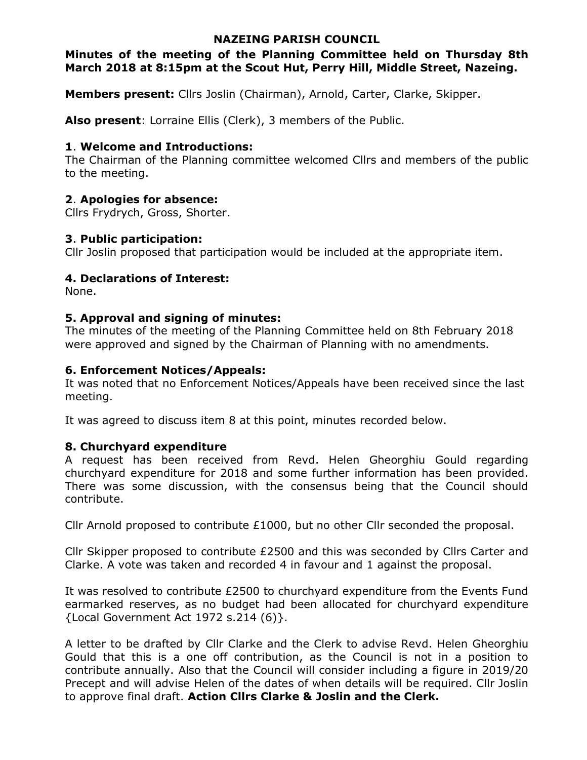## NAZEING PARISH COUNCIL

# Minutes of the meeting of the Planning Committee held on Thursday 8th March 2018 at 8:15pm at the Scout Hut, Perry Hill, Middle Street, Nazeing.

Members present: Cllrs Joslin (Chairman), Arnold, Carter, Clarke, Skipper.

Also present: Lorraine Ellis (Clerk), 3 members of the Public.

## 1. Welcome and Introductions:

The Chairman of the Planning committee welcomed Cllrs and members of the public to the meeting.

# 2. Apologies for absence:

Cllrs Frydrych, Gross, Shorter.

# 3. Public participation:

Cllr Joslin proposed that participation would be included at the appropriate item.

# 4. Declarations of Interest:

None.

# 5. Approval and signing of minutes:

The minutes of the meeting of the Planning Committee held on 8th February 2018 were approved and signed by the Chairman of Planning with no amendments.

# 6. Enforcement Notices/Appeals:

It was noted that no Enforcement Notices/Appeals have been received since the last meeting.

It was agreed to discuss item 8 at this point, minutes recorded below.

# 8. Churchyard expenditure

A request has been received from Revd. Helen Gheorghiu Gould regarding churchyard expenditure for 2018 and some further information has been provided. There was some discussion, with the consensus being that the Council should contribute.

Cllr Arnold proposed to contribute £1000, but no other Cllr seconded the proposal.

Cllr Skipper proposed to contribute £2500 and this was seconded by Cllrs Carter and Clarke. A vote was taken and recorded 4 in favour and 1 against the proposal.

It was resolved to contribute £2500 to churchyard expenditure from the Events Fund earmarked reserves, as no budget had been allocated for churchyard expenditure {Local Government Act 1972 s.214 (6)}.

A letter to be drafted by Cllr Clarke and the Clerk to advise Revd. Helen Gheorghiu Gould that this is a one off contribution, as the Council is not in a position to contribute annually. Also that the Council will consider including a figure in 2019/20 Precept and will advise Helen of the dates of when details will be required. Cllr Joslin to approve final draft. Action Cllrs Clarke & Joslin and the Clerk.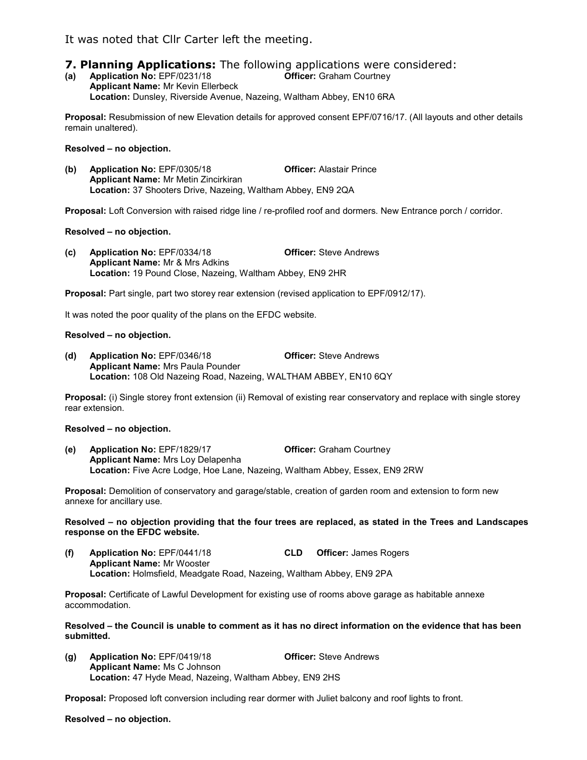It was noted that Cllr Carter left the meeting.

## **7. Planning Applications:** The following applications were considered:

(a) Application No: EPF/0231/18 Officer: Graham Courtney Applicant Name: Mr Kevin Ellerbeck Location: Dunsley, Riverside Avenue, Nazeing, Waltham Abbey, EN10 6RA

Proposal: Resubmission of new Elevation details for approved consent EPF/0716/17. (All layouts and other details remain unaltered).

#### Resolved – no objection.

(b) Application No: EPF/0305/18 Officer: Alastair Prince Applicant Name: Mr Metin Zincirkiran Location: 37 Shooters Drive, Nazeing, Waltham Abbey, EN9 2QA

Proposal: Loft Conversion with raised ridge line / re-profiled roof and dormers. New Entrance porch / corridor.

## Resolved – no objection.

(c) Application No: EPF/0334/18 Officer: Steve Andrews Applicant Name: Mr & Mrs Adkins Location: 19 Pound Close, Nazeing, Waltham Abbey, EN9 2HR

Proposal: Part single, part two storey rear extension (revised application to EPF/0912/17).

It was noted the poor quality of the plans on the EFDC website.

## Resolved – no objection.

(d) Application No: EPF/0346/18 Officer: Steve Andrews Applicant Name: Mrs Paula Pounder Location: 108 Old Nazeing Road, Nazeing, WALTHAM ABBEY, EN10 6QY

Proposal: (i) Single storey front extension (ii) Removal of existing rear conservatory and replace with single storey rear extension.

#### Resolved – no objection.

(e) Application No: EPF/1829/17 Officer: Graham Courtney Applicant Name: Mrs Loy Delapenha Location: Five Acre Lodge, Hoe Lane, Nazeing, Waltham Abbey, Essex, EN9 2RW

Proposal: Demolition of conservatory and garage/stable, creation of garden room and extension to form new annexe for ancillary use.

Resolved – no objection providing that the four trees are replaced, as stated in the Trees and Landscapes response on the EFDC website.

(f) Application No: EPF/0441/18 CLD Officer: James Rogers Applicant Name: Mr Wooster Location: Holmsfield, Meadgate Road, Nazeing, Waltham Abbey, EN9 2PA

Proposal: Certificate of Lawful Development for existing use of rooms above garage as habitable annexe accommodation.

Resolved – the Council is unable to comment as it has no direct information on the evidence that has been submitted.

(g) Application No: EPF/0419/18 Officer: Steve Andrews Applicant Name: Ms C Johnson Location: 47 Hyde Mead, Nazeing, Waltham Abbey, EN9 2HS

Proposal: Proposed loft conversion including rear dormer with Juliet balcony and roof lights to front.

Resolved – no objection.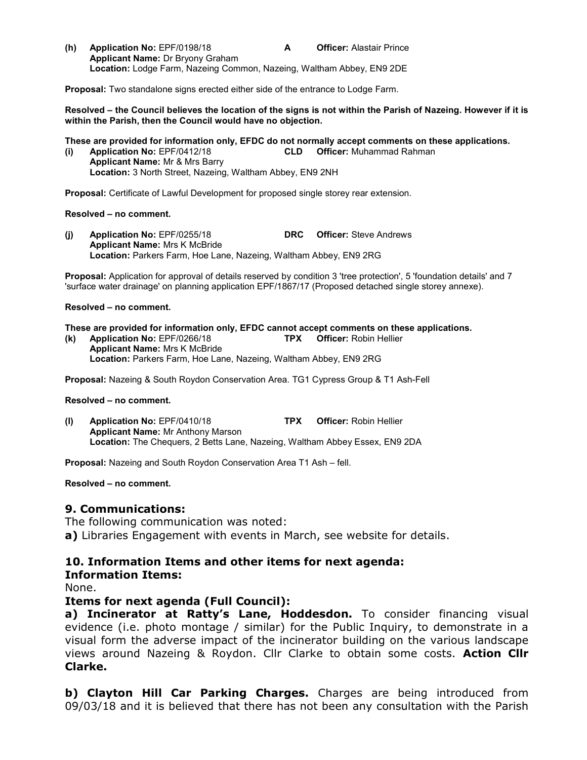(h) Application No: EPF/0198/18 **A** Officer: Alastair Prince Applicant Name: Dr Bryony Graham Location: Lodge Farm, Nazeing Common, Nazeing, Waltham Abbey, EN9 2DE

Proposal: Two standalone signs erected either side of the entrance to Lodge Farm.

Resolved – the Council believes the location of the signs is not within the Parish of Nazeing. However if it is within the Parish, then the Council would have no objection.

## These are provided for information only, EFDC do not normally accept comments on these applications.

(i) Application No: EPF/0412/18 CLD Officer: Muhammad Rahman Applicant Name: Mr & Mrs Barry Location: 3 North Street, Nazeing, Waltham Abbey, EN9 2NH

Proposal: Certificate of Lawful Development for proposed single storey rear extension.

#### Resolved – no comment.

(j) Application No: EPF/0255/18 DRC Officer: Steve Andrews Applicant Name: Mrs K McBride Location: Parkers Farm, Hoe Lane, Nazeing, Waltham Abbey, EN9 2RG

Proposal: Application for approval of details reserved by condition 3 'tree protection', 5 'foundation details' and 7 'surface water drainage' on planning application EPF/1867/17 (Proposed detached single storey annexe).

#### Resolved – no comment.

## These are provided for information only, EFDC cannot accept comments on these applications.

(k) Application No: EPF/0266/18 TPX Officer: Robin Hellier Applicant Name: Mrs K McBride Location: Parkers Farm, Hoe Lane, Nazeing, Waltham Abbey, EN9 2RG

Proposal: Nazeing & South Roydon Conservation Area. TG1 Cypress Group & T1 Ash-Fell

#### Resolved – no comment.

(l) Application No: EPF/0410/18 TPX Officer: Robin Hellier Applicant Name: Mr Anthony Marson Location: The Chequers, 2 Betts Lane, Nazeing, Waltham Abbey Essex, EN9 2DA

Proposal: Nazeing and South Roydon Conservation Area T1 Ash – fell.

## Resolved – no comment.

## 9. Communications:

The following communication was noted: a) Libraries Engagement with events in March, see website for details.

## 10. Information Items and other items for next agenda: Information Items:

None.

## Items for next agenda (Full Council):

a) Incinerator at Ratty's Lane, Hoddesdon. To consider financing visual evidence (i.e. photo montage / similar) for the Public Inquiry, to demonstrate in a visual form the adverse impact of the incinerator building on the various landscape views around Nazeing & Roydon. Cllr Clarke to obtain some costs. Action Cllr Clarke.

b) Clayton Hill Car Parking Charges. Charges are being introduced from 09/03/18 and it is believed that there has not been any consultation with the Parish